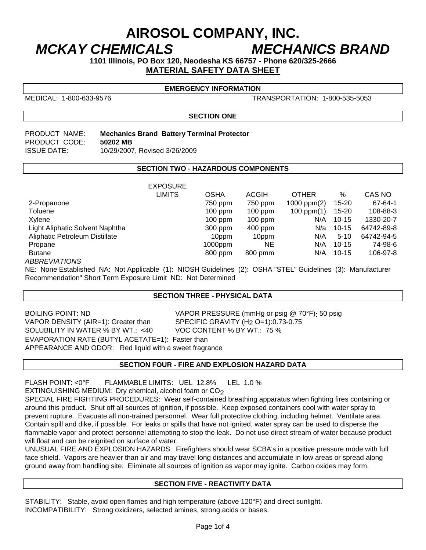# **AIROSOL COMPANY, INC.**  *MCKAY CHEMICALS MECHANICS BRAND*

**1101 Illinois, PO Box 120, Neodesha KS 66757 - Phone 620/325-2666 MATERIAL SAFETY DATA SHEET**

MEDICAL: 1-800-633-9576 TRANSPORTATION: 1-800-535-5053

**EMERGENCY INFORMATION** 

**SECTION ONE** 

PRODUCT CODE: **50202 MB**

PRODUCT NAME: **Mechanics Brand Battery Terminal Protector**  ISSUE DATE: 10/29/2007, Revised 3/26/2009

# **SECTION TWO - HAZARDOUS COMPONENTS**

|                                 | <b>EXPOSURE</b> |             |              |                 |           |            |
|---------------------------------|-----------------|-------------|--------------|-----------------|-----------|------------|
|                                 | <b>LIMITS</b>   | <b>OSHA</b> | <b>ACGIH</b> | <b>OTHER</b>    | $\%$      | CAS NO     |
| 2-Propanone                     |                 | 750 ppm     | 750 ppm      | 1000 ppm $(2)$  | $15 - 20$ | 67-64-1    |
| Toluene                         |                 | $100$ ppm   | $100$ ppm    | $100$ ppm $(1)$ | $15 - 20$ | 108-88-3   |
| Xylene                          |                 | $100$ ppm   | $100$ ppm    | N/A             | $10 - 15$ | 1330-20-7  |
| Light Aliphatic Solvent Naphtha |                 | 300 ppm     | $400$ ppm    | N/a             | $10 - 15$ | 64742-89-8 |
| Aliphatic Petroleum Distillate  |                 | 10ppm       | 10ppm        | N/A             | $5 - 10$  | 64742-94-5 |
| Propane                         |                 | $1000$ ppm  | <b>NE</b>    | N/A             | $10 - 15$ | 74-98-6    |
| <b>Butane</b>                   |                 | 800 ppm     | 800 pmm      | N/A             | $10-15$   | 106-97-8   |
| <b>ABBREVIATIONS</b>            |                 |             |              |                 |           |            |

NE: None Established NA: Not Applicable (1): NIOSH Guidelines (2): OSHA "STEL" Guidelines (3): Manufacturer Recommendation" Short Term Exposure Limit ND: Not Determined

# **SECTION THREE - PHYSICAL DATA**

BOILING POINT: ND<br>VAPOR PRESSURE (mmHg or psig @ 70°F): 50 psig<br>VAPOR DENSITY (AIR=1): Greater than SPECIFIC GRAVITY (H<sub>2</sub> O=1):0.73-0.75 SOLUBILITY IN WATER % BY WT.: <40 EVAPORATION RATE (BUTYL ACETATE=1): Faster than APPEARANCE AND ODOR: Red liquid with a sweet fragrance 

SPECIFIC GRAVITY (H<sub>2</sub> O=1):0.73-0.75<br>VOC CONTENT % BY WT.: 75 %

# **SECTION FOUR - FIRE AND EXPLOSION HAZARD DATA**

FLASH POINT: <0°F FLAMMABLE LIMITS: UEL 12.8% LEL 1.0 % EXTINGUISHING MEDIUM: Dry chemical, alcohol foam or  $CO<sub>2</sub>$ 

SPECIAL FIRE FIGHTING PROCEDURES: Wear self-contained breathing apparatus when fighting fires containing or around this product. Shut off all sources of ignition, if possible. Keep exposed containers cool with water spray to prevent rupture. Evacuate all non-trained personnel. Wear full protective clothing, including helmet. Ventilate area. Contain spill and dike, if possible. For leaks or spills that have not ignited, water spray can be used to disperse the flammable vapor and protect personnel attempting to stop the leak. Do not use direct stream of water because product will float and can be reignited on surface of water.

UNUSUAL FIRE AND EXPLOSION HAZARDS: Firefighters should wear SCBA's in a positive pressure mode with full face shield. Vapors are heavier than air and may travel long distances and accumulate in low areas or spread along ground away from handling site. Eliminate all sources of ignition as vapor may ignite. Carbon oxides may form.

# **SECTION FIVE - REACTIVITY DATA**

STABILITY: Stable, avoid open flames and high temperature (above 120°F) and direct sunlight. INCOMPATIBILITY: Strong oxidizers, selected amines, strong acids or bases.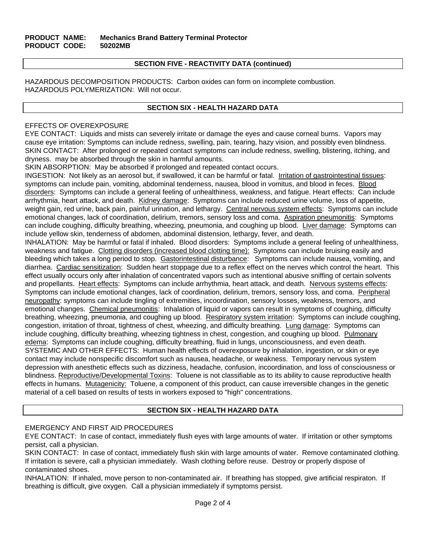# **SECTION FIVE - REACTIVITY DATA (continued)**

HAZARDOUS DECOMPOSITION PRODUCTS: Carbon oxides can form on incomplete combustion. HAZARDOUS POLYMERIZATION: Will not occur.

# **SECTION SIX - HEALTH HAZARD DATA**

# EFFECTS OF OVEREXPOSURE

EYE CONTACT: Liquids and mists can severely irritate or damage the eyes and cause corneal burns. Vapors may cause eye irritation: Symptoms can include redness, swelling, pain, tearing, hazy vision, and possibly even blindness. SKIN CONTACT: After prolonged or repeated contact symptoms can include redness, swelling, blistering, itching, and dryness. may be absorbed through the skin in harmful amounts.

SKIN ABSORPTION: May be absorbed if prolonged and repeated contact occurs.

INGESTION: Not likely as an aerosol but, if swallowed, it can be harmful or fatal. Irritation of gastrointestinal tissues: symptoms can include pain, vomiting, abdominal tenderness, nausea, blood in vomitus, and blood in feces. Blood disorders: Symptoms can include a general feeling of unhealthiness, weakness, and fatigue. Heart effects: Can include arrhythmia, heart attack, and death. Kidney damage: Symptoms can include reduced urine volume, loss of appetite, weight gain, red urine, back pain, painful urination, and lethargy. Central nervous system effects: Symptoms can include emotional changes, lack of coordination, delirium, tremors, sensory loss and coma. Aspiration pneumonitis: Symptoms can include coughing, difficulty breathing, wheezing, pneumonia, and coughing up blood. Liver damage: Symptoms can include yellow skin, tenderness of abdomen, abdominal distension, lethargy, fever, and death.

INHALATION: May be harmful or fatal if inhaled. Blood disorders: Symptoms include a general feeling of unhealthiness, weakness and fatigue. Clotting disorders (increased blood clotting time): Symptoms can include bruising easily and bleeding which takes a long period to stop. Gastorintestinal disturbance: Symptoms can include nausea, vomiting, and diarrhea. Cardiac sensitization: Sudden heart stoppage due to a reflex effect on the nerves which control the heart. This effect usually occurs only after inhalation of concentrated vapors such as intentional abusive sniffing of certain solvents and propellants. Heart effects: Symptoms can include arrhythmia, heart attack, and death. Nervous systems effects: Symptoms can include emotional changes, lack of coordination, delirium, tremors, sensory loss, and coma. Peripheral neuropathy: symptoms can include tingling of extremities, incoordination, sensory losses, weakness, tremors, and emotional changes. Chemical pneumonitis: Inhalation of liquid or vapors can result in symptoms of coughing, difficulty breathing, wheezing, pneumonia, and coughing up blood. Respiratory system irritation: Symptoms can include coughing, congestion, irritation of throat, tightness of chest, wheezing, and difficulty breathing. Lung damage: Symptoms can include coughing, difficulty breathing, wheezing tightness in chest, congestion, and coughing up blood. Pulmonary edema: Symptoms can include coughing, difficulty breathing, fluid in lungs, unconsciousness, and even death. SYSTEMIC AND OTHER EFFECTS: Human health effects of overexposure by inhalation, ingestion, or skin or eye contact may include nonspecific discomfort such as nausea, headache, or weakness. Temporary nervous system depression with anesthetic effects such as dizziness, headache, confusion, incoordination, and loss of consciousness or blindness. Reproductive/Developmental Toxins: Toluene is not classifiable as to its ability to cause reproductive health effects in humans. Mutagenicity: Toluene, a component of this product, can cause irreversible changes in the genetic material of a cell based on results of tests in workers exposed to "high" concentrations.

# **SECTION SIX - HEALTH HAZARD DATA**

# EMERGENCY AND FIRST AID PROCEDURES

EYE CONTACT: In case of contact, immediately flush eyes with large amounts of water. If irritation or other symptoms persist, call a physician.

SKIN CONTACT: In case of contact, immediately flush skin with large amounts of water. Remove contaminated clothing. If irritation is severe, call a physician immediately. Wash clothing before reuse. Destroy or properly dispose of contaminated shoes.

INHALATION: If inhaled, move person to non-contaminated air. If breathing has stopped, give artificial respiraton. If breathing is difficult, give oxygen. Call a physician immediately if symptoms persist.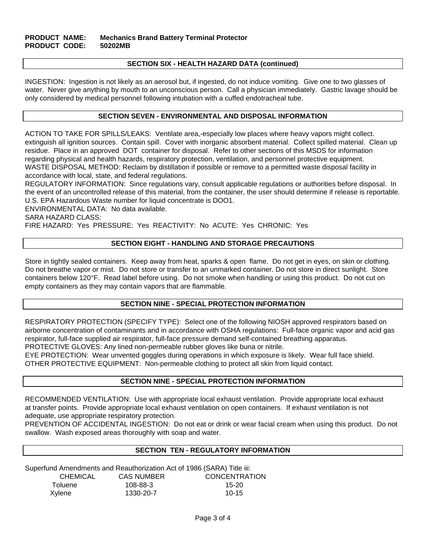#### **SECTION SIX - HEALTH HAZARD DATA (continued)**

INGESTION: Ingestion is not likely as an aerosol but, if ingested, do not induce vomiting. Give one to two glasses of water. Never give anything by mouth to an unconscious person. Call a physician immediately. Gastric lavage should be only considered by medical personnel following intubation with a cuffed endotracheal tube.

#### **SECTION SEVEN - ENVIRONMENTAL AND DISPOSAL INFORMATION**

ACTION TO TAKE FOR SPILLS/LEAKS: Ventilate area,-especially low places where heavy vapors might collect. extinguish all ignition sources. Contain spill. Cover with inorganic absorbent material. Collect spilled material. Clean up residue. Place in an approved DOT container for disposal. Refer to other sections of this MSDS for information regarding physical and health hazards, respiratory protection, ventilation, and personnel protective equipment. WASTE DISPOSAL METHOD: Reclaim by distillation if possible or remove to a permitted waste disposal facility in accordance with local, state, and federal regulations.

REGULATORY INFORMATION: Since regulations vary, consult applicable regulations or authorities before disposal. In the event of an uncontrolled release of this material, from the container, the user should determine if release is reportable. U.S. EPA Hazardous Waste number for liquid concentrate is DOO1.

ENVIRONMENTAL DATA: No data available.

SARA HAZARD CLASS:

FIRE HAZARD: Yes PRESSURE: Yes REACTIVITY: No ACUTE: Yes CHRONIC: Yes

#### **SECTION EIGHT - HANDLING AND STORAGE PRECAUTIONS**

Store in tightly sealed containers. Keep away from heat, sparks & open flame. Do not get in eyes, on skin or clothing. Do not breathe vapor or mist. Do not store or transfer to an unmarked container. Do not store in direct sunlight. Store containers below 120°F. Read label before using. Do not smoke when handling or using this product. Do not cut on empty containers as they may contain vapors that are flammable.

#### **SECTION NINE - SPECIAL PROTECTION INFORMATION**

RESPIRATORY PROTECTION (SPECIFY TYPE): Select one of the following NIOSH approved respirators based on airborne concentration of contaminants and in accordance with OSHA regulations: Full-face organic vapor and acid gas respirator, full-face supplied air respirator, full-face pressure demand self-contained breathing apparatus.

PROTECTIVE GLOVES: Any lined non-permeable rubber gloves like buna or nitrile.

EYE PROTECTION: Wear unvented goggles during operations in which exposure is likely. Wear full face shield. OTHER PROTECTIVE EQUIPMENT: Non-permeable clothing to protect all skin from liquid contact.

#### **SECTION NINE - SPECIAL PROTECTION INFORMATION**

RECOMMENDED VENTILATION: Use with appropriate local exhaust ventilation. Provide appropriate local exhaust at transfer points. Provide appropriate local exhaust ventilation on open containers. If exhaust ventilation is not adequate, use appropriate respiratory protection.

PREVENTION OF ACCIDENTAL INGESTION: Do not eat or drink or wear facial cream when using this product. Do not swallow. Wash exposed areas thoroughly with soap and water.

# **SECTION TEN - REGULATORY INFORMATION**

Superfund Amendments and Reauthorization Act of 1986 (SARA) Title iii:

| CHEMICAL | <b>CAS NUMBER</b> | <b>CONCENTRATION</b> |
|----------|-------------------|----------------------|
| Toluene  | 108-88-3          | 15-20                |
| Xylene   | 1330-20-7         | $10-15$              |